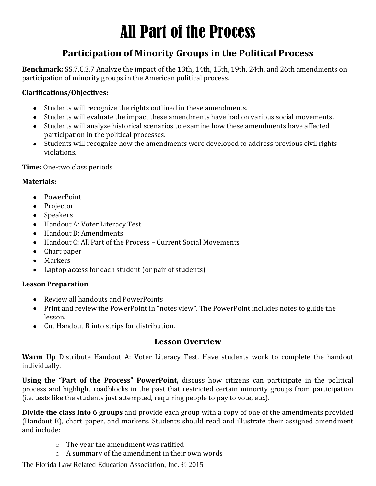# All Part of the Process

# **Participation of Minority Groups in the Political Process**

**Benchmark:** SS.7.C.3.7 Analyze the impact of the 13th, 14th, 15th, 19th, 24th, and 26th amendments on participation of minority groups in the American political process.

#### **Clarifications/Objectives:**

- Students will recognize the rights outlined in these amendments.
- Students will evaluate the impact these amendments have had on various social movements.
- Students will analyze historical scenarios to examine how these amendments have affected participation in the political processes.
- Students will recognize how the amendments were developed to address previous civil rights violations.

#### **Time:** One-two class periods

#### **Materials:**

- PowerPoint
- Projector
- Speakers
- Handout A: Voter Literacy Test
- Handout B: Amendments
- Handout C: All Part of the Process Current Social Movements
- Chart paper
- Markers
- Laptop access for each student (or pair of students)

#### **Lesson Preparation**

- Review all handouts and PowerPoints
- Print and review the PowerPoint in "notes view". The PowerPoint includes notes to guide the lesson.
- Cut Handout B into strips for distribution.

## **Lesson Overview**

**Warm Up** Distribute Handout A: Voter Literacy Test. Have students work to complete the handout individually.

**Using the "Part of the Process" PowerPoint,** discuss how citizens can participate in the political process and highlight roadblocks in the past that restricted certain minority groups from participation (i.e. tests like the students just attempted, requiring people to pay to vote, etc.).

**Divide the class into 6 groups** and provide each group with a copy of one of the amendments provided (Handout B), chart paper, and markers. Students should read and illustrate their assigned amendment and include:

- o The year the amendment was ratified
- o A summary of the amendment in their own words

The Florida Law Related Education Association, Inc. © 2015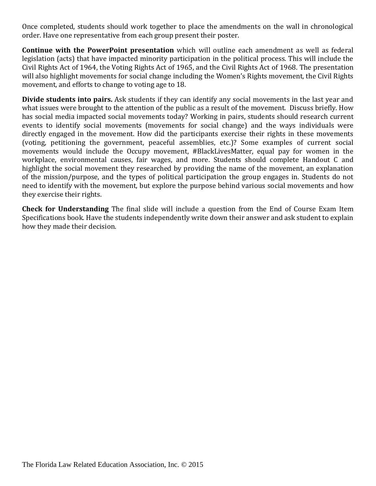Once completed, students should work together to place the amendments on the wall in chronological order. Have one representative from each group present their poster.

**Continue with the PowerPoint presentation** which will outline each amendment as well as federal legislation (acts) that have impacted minority participation in the political process. This will include the Civil Rights Act of 1964, the Voting Rights Act of 1965, and the Civil Rights Act of 1968. The presentation will also highlight movements for social change including the Women's Rights movement, the Civil Rights movement, and efforts to change to voting age to 18.

**Divide students into pairs.** Ask students if they can identify any social movements in the last year and what issues were brought to the attention of the public as a result of the movement. Discuss briefly. How has social media impacted social movements today? Working in pairs, students should research current events to identify social movements (movements for social change) and the ways individuals were directly engaged in the movement. How did the participants exercise their rights in these movements (voting, petitioning the government, peaceful assemblies, etc.)? Some examples of current social movements would include the Occupy movement, #BlackLivesMatter, equal pay for women in the workplace, environmental causes, fair wages, and more. Students should complete Handout C and highlight the social movement they researched by providing the name of the movement, an explanation of the mission/purpose, and the types of political participation the group engages in. Students do not need to identify with the movement, but explore the purpose behind various social movements and how they exercise their rights.

**Check for Understanding** The final slide will include a question from the End of Course Exam Item Specifications book. Have the students independently write down their answer and ask student to explain how they made their decision.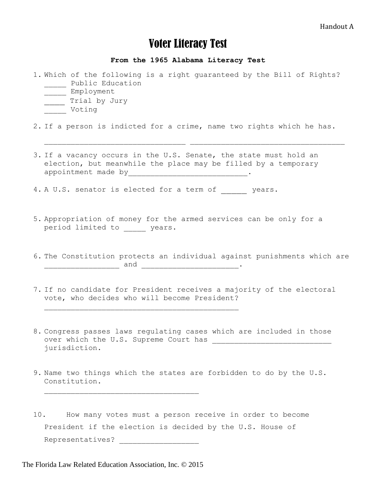#### Handout A

# Voter Literacy Test

**From the 1965 Alabama Literacy Test**

- 1. Which of the following is a right guaranteed by the Bill of Rights? \_\_\_\_\_\_ Public Education \_\_\_\_\_ Employment
	- \_\_\_\_ Trial by Jury
	- Voting

2. If a person is indicted for a crime, name two rights which he has.

3. If a vacancy occurs in the U.S. Senate, the state must hold an election, but meanwhile the place may be filled by a temporary appointment made by \_\_\_\_\_\_\_\_\_\_\_\_\_\_\_\_\_\_\_\_\_\_\_\_\_\_\_\_\_\_\_.

 $\overline{\phantom{a}}$  , and the contract of  $\overline{\phantom{a}}$ 

4. A U.S. senator is elected for a term of which the years.

- 5. Appropriation of money for the armed services can be only for a period limited to years.
- 6. The Constitution protects an individual against punishments which are \_\_\_\_\_\_\_\_\_\_\_\_\_\_\_\_\_ and \_\_\_\_\_\_\_\_\_\_\_\_\_\_\_\_\_\_\_\_\_\_**.**
- 7. If no candidate for President receives a majority of the electoral vote, who decides who will become President?
- 8. Congress passes laws regulating cases which are included in those over which the U.S. Supreme Court has \_\_\_\_\_\_\_\_\_\_\_\_\_\_\_\_\_\_\_\_\_\_\_\_\_\_\_ jurisdiction.
- 9. Name two things which the states are forbidden to do by the U.S. Constitution.
- 10. How many votes must a person receive in order to become President if the election is decided by the U.S. House of Representatives? \_\_\_\_\_\_\_\_\_\_\_\_\_\_\_\_\_\_

The Florida Law Related Education Association, Inc. © 2015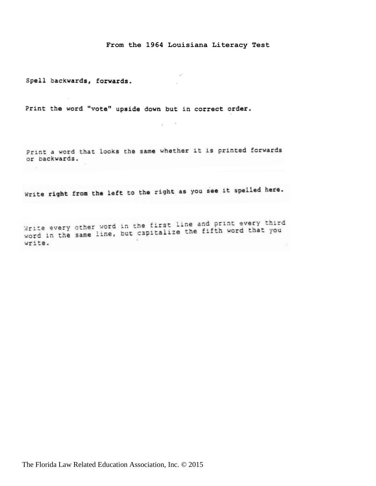#### **From the 1964 Louisiana Literacy Test**

Spell backwards, forwards.

Print the word "vote" upside down but in correct order.

Print a word that looks the same whether it is printed forwards or backwards.

 $\epsilon$  and  $\epsilon$ 

Write right from the left to the right as you see it spelled here.

Write every other word in the first line and print every third Write every other word in the first line and princ every three<br>word in the same line, but capitalize the fifth word that you write.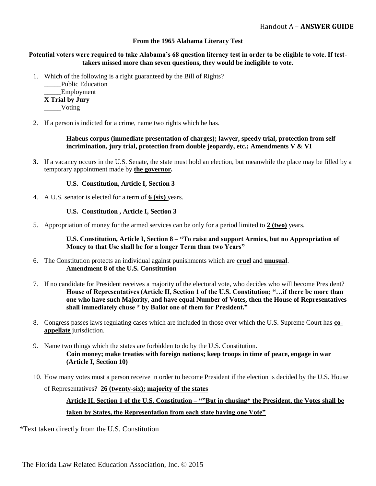#### **From the 1965 Alabama Literacy Test**

#### **Potential voters were required to take Alabama's 68 question literacy test in order to be eligible to vote. If testtakers missed more than seven questions, they would be ineligible to vote.**

1. Which of the following is a right guaranteed by the Bill of Rights?

Public Education Employment **X Trial by Jury** \_\_\_\_\_Voting

2. If a person is indicted for a crime, name two rights which he has.

**Habeus corpus (immediate presentation of charges); lawyer, speedy trial, protection from selfincrimination, jury trial, protection from double jeopardy, etc.; Amendments V & VI**

**3.** If a vacancy occurs in the U.S. Senate, the state must hold an election, but meanwhile the place may be filled by a temporary appointment made by **the governor.** 

#### **U.S. Constitution, Article I, Section 3**

4. A U.S. senator is elected for a term of **6 (six)** years.

#### **U.S. Constitution , Article I, Section 3**

5. Appropriation of money for the armed services can be only for a period limited to **2 (two)** years.

**U.S. Constitution, Article I, Section 8 – "To raise and support Armies, but no Appropriation of Money to that Use shall be for a longer Term than two Years"** 

- 6. The Constitution protects an individual against punishments which are **cruel** and **unusual**. **Amendment 8 of the U.S. Constitution**
- 7. If no candidate for President receives a majority of the electoral vote, who decides who will become President? **House of Representatives (Article II, Section 1 of the U.S. Constitution; "…if there be more than one who have such Majority, and have equal Number of Votes, then the House of Representatives shall immediately chuse \* by Ballot one of them for President."**
- 8. Congress passes laws regulating cases which are included in those over which the U.S. Supreme Court has **coappellate** jurisdiction.
- 9. Name two things which the states are forbidden to do by the U.S. Constitution. **Coin money; make treaties with foreign nations; keep troops in time of peace, engage in war (Article I, Section 10)**
- 10. How many votes must a person receive in order to become President if the election is decided by the U.S. House

of Representatives? **26 (twenty-six); majority of the states** 

#### **Article II, Section 1 of the U.S. Constitution – ""But in chusing\* the President, the Votes shall be taken by States, the Representation from each state having one Vote"**

\*Text taken directly from the U.S. Constitution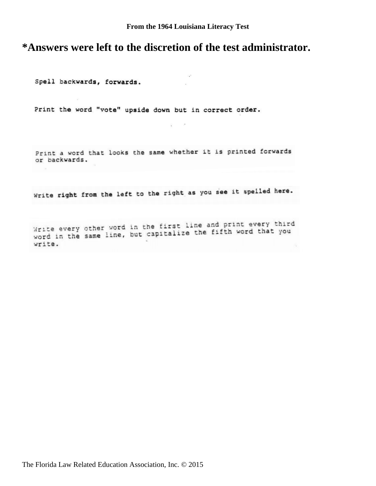# **\*Answers were left to the discretion of the test administrator.**

Spell backwards, forwards.

Print the word "vote" upside down but in correct order.

Print a word that looks the same whether it is printed forwards or backwards.

 $\sim$   $-$ 

Write right from the left to the right as you see it spelled here.

Write every other word in the first line and print every third Write every other word in the first line and princ every three<br>word in the same line, but capitalize the fifth word that you write.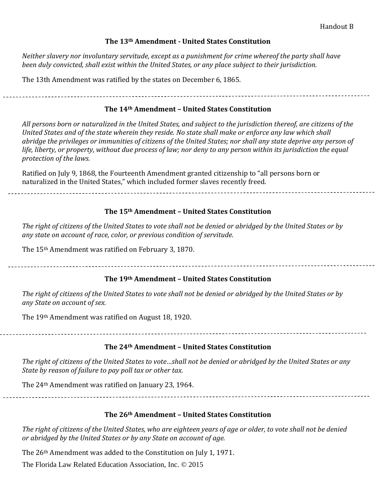#### Handout B

#### **The 13th Amendment - United States Constitution**

*Neither slavery nor involuntary servitude, except as a punishment for crime whereof the party shall have been duly convicted, shall exist within the United States, or any place subject to their jurisdiction.*

The 13th Amendment was ratified by the states on December 6, 1865.

#### **The 14th Amendment – United States Constitution**

*All persons born or naturalized in the United States, and subject to the jurisdiction thereof, are citizens of the United States and of the state wherein they reside. No state shall make or enforce any law which shall abridge the privileges or immunities of citizens of the United States; nor shall any state deprive any person of life, liberty, or property, without due process of law; nor deny to any person within its jurisdiction the equal protection of the laws.*

Ratified on July 9, 1868, the Fourteenth Amendment granted citizenship to "all persons born or naturalized in the United States," which included former slaves recently freed.

#### **The 15th Amendment – United States Constitution**

*The right of citizens of the United States to vote shall not be denied or abridged by the United States or by any state on account of race, color, or previous condition of servitude.*

The 15th Amendment was ratified on February 3, 1870.

#### **The 19th Amendment – United States Constitution**

*The right of citizens of the United States to vote shall not be denied or abridged by the United States or by any State on account of sex.*

The 19th Amendment was ratified on August 18, 1920.

#### **The 24th Amendment – United States Constitution**

*The right of citizens of the United States to vote…shall not be denied or abridged by the United States or any State by reason of failure to pay poll tax or other tax.*

The 24th Amendment was ratified on January 23, 1964.

的,他们的人们都是一个人们的人们,他们的人们都是不是一个人们的人们,而且他们的人们的人们,而且他们的人们的人们,而且他们的人们的人们的人们,而且他们的人们的人们

#### **The 26th Amendment – United States Constitution**

*The right of citizens of the United States, who are eighteen years of age or older, to vote shall not be denied or abridged by the United States or by any State on account of age.*

The 26th Amendment was added to the Constitution on July 1, 1971.

The Florida Law Related Education Association, Inc. © 2015